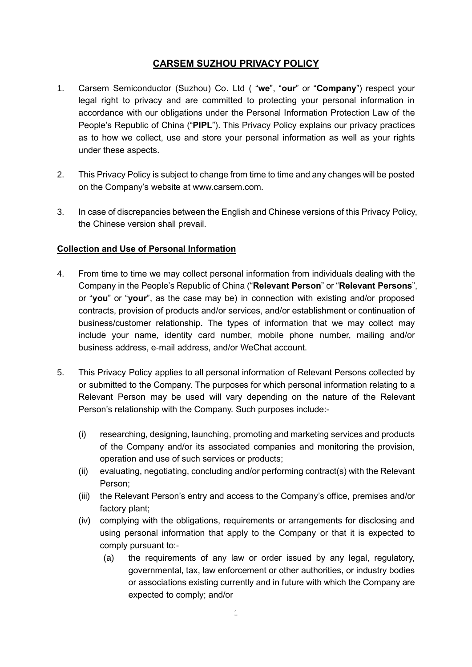# **CARSEM SUZHOU PRIVACY POLICY**

- 1. Carsem Semiconductor (Suzhou) Co. Ltd ( "**we**", "**our**" or "**Company**") respect your legal right to privacy and are committed to protecting your personal information in accordance with our obligations under the Personal Information Protection Law of the People's Republic of China ("**PIPL**"). This Privacy Policy explains our privacy practices as to how we collect, use and store your personal information as well as your rights under these aspects.
- 2. This Privacy Policy is subject to change from time to time and any changes will be posted on the Company's website at www.carsem.com.
- 3. In case of discrepancies between the English and Chinese versions of this Privacy Policy, the Chinese version shall prevail.

## **Collection and Use of Personal Information**

- 4. From time to time we may collect personal information from individuals dealing with the Company in the People's Republic of China ("**Relevant Person**" or "**Relevant Persons**", or "**you**" or "**your**", as the case may be) in connection with existing and/or proposed contracts, provision of products and/or services, and/or establishment or continuation of business/customer relationship. The types of information that we may collect may include your name, identity card number, mobile phone number, mailing and/or business address, e-mail address, and/or WeChat account.
- 5. This Privacy Policy applies to all personal information of Relevant Persons collected by or submitted to the Company. The purposes for which personal information relating to a Relevant Person may be used will vary depending on the nature of the Relevant Person's relationship with the Company. Such purposes include:-
	- (i) researching, designing, launching, promoting and marketing services and products of the Company and/or its associated companies and monitoring the provision, operation and use of such services or products;
	- (ii) evaluating, negotiating, concluding and/or performing contract(s) with the Relevant Person;
	- (iii) the Relevant Person's entry and access to the Company's office, premises and/or factory plant;
	- (iv) complying with the obligations, requirements or arrangements for disclosing and using personal information that apply to the Company or that it is expected to comply pursuant to:-
		- (a) the requirements of any law or order issued by any legal, regulatory, governmental, tax, law enforcement or other authorities, or industry bodies or associations existing currently and in future with which the Company are expected to comply; and/or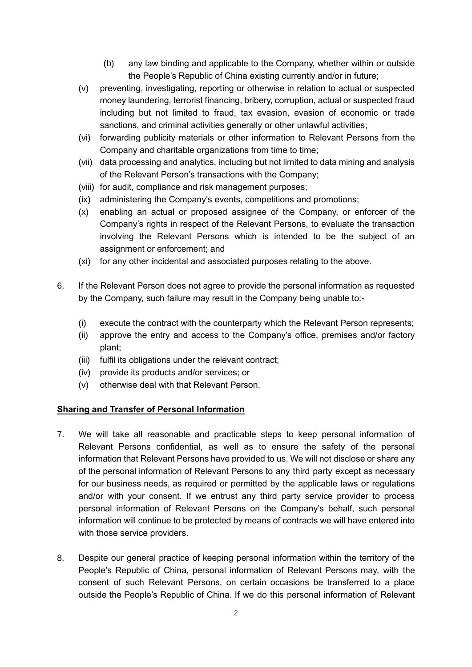- (b) any law binding and applicable to the Company, whether within or outside the People's Republic of China existing currently and/or in future;
- (v) preventing, investigating, reporting or otherwise in relation to actual or suspected money laundering, terrorist financing, bribery, corruption, actual or suspected fraud including but not limited to fraud, tax evasion, evasion of economic or trade sanctions, and criminal activities generally or other unlawful activities;
- (vi) forwarding publicity materials or other information to Relevant Persons from the Company and charitable organizations from time to time;
- (vii) data processing and analytics, including but not limited to data mining and analysis of the Relevant Person's transactions with the Company;
- (viii) for audit, compliance and risk management purposes;
- (ix) administering the Company's events, competitions and promotions;
- (x) enabling an actual or proposed assignee of the Company, or enforcer of the Company's rights in respect of the Relevant Persons, to evaluate the transaction involving the Relevant Persons which is intended to be the subject of an assignment or enforcement; and
- (xi) for any other incidental and associated purposes relating to the above.
- 6. If the Relevant Person does not agree to provide the personal information as requested by the Company, such failure may result in the Company being unable to:-
	- (i) execute the contract with the counterparty which the Relevant Person represents;
	- (ii) approve the entry and access to the Company's office, premises and/or factory plant;
	- (iii) fulfil its obligations under the relevant contract;
	- (iv) provide its products and/or services; or
	- (v) otherwise deal with that Relevant Person.

#### **Sharing and Transfer of Personal Information**

- 7. We will take all reasonable and practicable steps to keep personal information of Relevant Persons confidential, as well as to ensure the safety of the personal information that Relevant Persons have provided to us. We will not disclose or share any of the personal information of Relevant Persons to any third party except as necessary for our business needs, as required or permitted by the applicable laws or regulations and/or with your consent. If we entrust any third party service provider to process personal information of Relevant Persons on the Company's behalf, such personal information will continue to be protected by means of contracts we will have entered into with those service providers.
- 8. Despite our general practice of keeping personal information within the territory of the People's Republic of China, personal information of Relevant Persons may, with the consent of such Relevant Persons, on certain occasions be transferred to a place outside the People's Republic of China. If we do this personal information of Relevant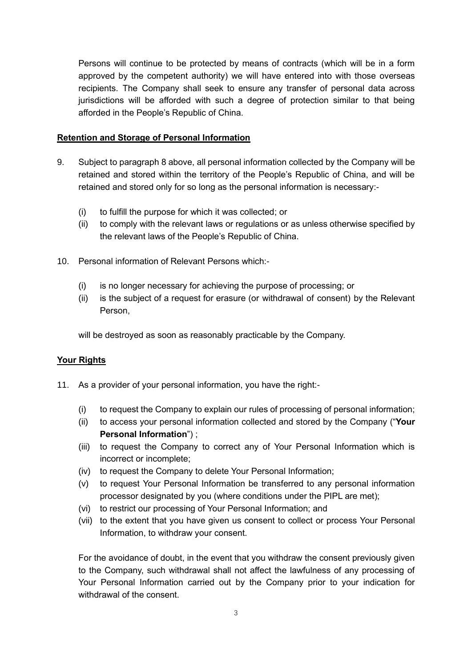Persons will continue to be protected by means of contracts (which will be in a form approved by the competent authority) we will have entered into with those overseas recipients. The Company shall seek to ensure any transfer of personal data across jurisdictions will be afforded with such a degree of protection similar to that being afforded in the People's Republic of China.

## **Retention and Storage of Personal Information**

- 9. Subject to paragraph 8 above, all personal information collected by the Company will be retained and stored within the territory of the People's Republic of China, and will be retained and stored only for so long as the personal information is necessary:-
	- (i) to fulfill the purpose for which it was collected; or
	- (ii) to comply with the relevant laws or regulations or as unless otherwise specified by the relevant laws of the People's Republic of China.
- 10. Personal information of Relevant Persons which:-
	- (i) is no longer necessary for achieving the purpose of processing; or
	- (ii) is the subject of a request for erasure (or withdrawal of consent) by the Relevant Person,

will be destroyed as soon as reasonably practicable by the Company.

## **Your Rights**

- 11. As a provider of your personal information, you have the right:-
	- (i) to request the Company to explain our rules of processing of personal information;
	- (ii) to access your personal information collected and stored by the Company ("**Your Personal Information**") ;
	- (iii) to request the Company to correct any of Your Personal Information which is incorrect or incomplete;
	- (iv) to request the Company to delete Your Personal Information;
	- (v) to request Your Personal Information be transferred to any personal information processor designated by you (where conditions under the PIPL are met);
	- (vi) to restrict our processing of Your Personal Information; and
	- (vii) to the extent that you have given us consent to collect or process Your Personal Information, to withdraw your consent.

For the avoidance of doubt, in the event that you withdraw the consent previously given to the Company, such withdrawal shall not affect the lawfulness of any processing of Your Personal Information carried out by the Company prior to your indication for withdrawal of the consent.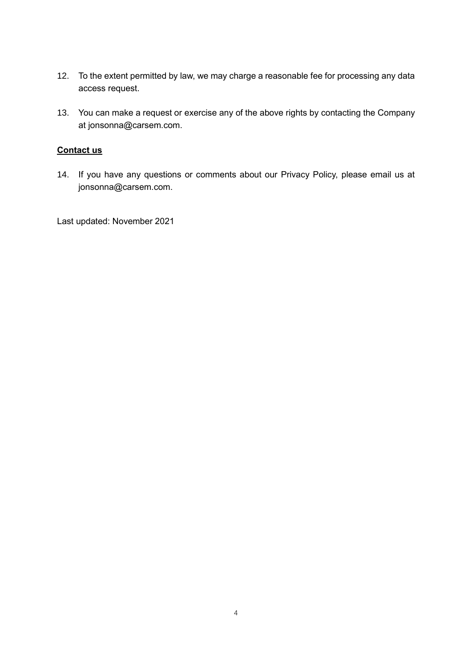- 12. To the extent permitted by law, we may charge a reasonable fee for processing any data access request.
- 13. You can make a request or exercise any of the above rights by contacting the Company at jonsonna@carsem.com.

### **Contact us**

14. If you have any questions or comments about our Privacy Policy, please email us at jonsonna@carsem.com.

Last updated: November 2021